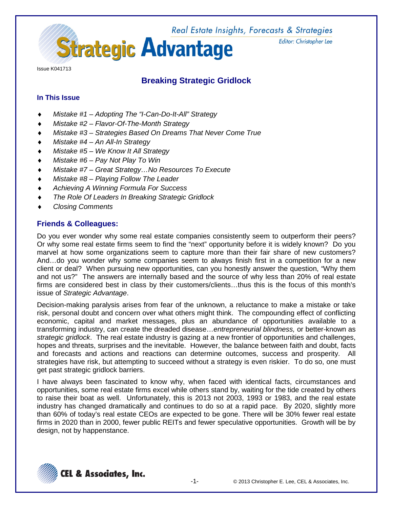Real Estate Insights, Forecasts & Strategies **Strategic Advantage** 

Editor: Christopher Lee

Issue K041713

# **Breaking Strategic Gridlock**

# **In This Issue**

- ♦ *Mistake #1 – Adopting The "I-Can-Do-It-All" Strategy*
- ♦ *Mistake #2 – Flavor-Of-The-Month Strategy*
- ♦ *Mistake #3 – Strategies Based On Dreams That Never Come True*
- ♦ *Mistake #4 – An All-In Strategy*
- ♦ *Mistake #5 – We Know It All Strategy*
- ♦ *Mistake #6 – Pay Not Play To Win*
- ♦ *Mistake #7 – Great Strategy…No Resources To Execute*
- ♦ *Mistake #8 – Playing Follow The Leader*
- ♦ *Achieving A Winning Formula For Success*
- **The Role Of Leaders In Breaking Strategic Gridlock**
- ♦ *Closing Comments*

# **Friends & Colleagues:**

Do you ever wonder why some real estate companies consistently seem to outperform their peers? Or why some real estate firms seem to find the "next" opportunity before it is widely known? Do you marvel at how some organizations seem to capture more than their fair share of new customers? And…do you wonder why some companies seem to always finish first in a competition for a new client or deal? When pursuing new opportunities, can you honestly answer the question, "Why them and not us?" The answers are internally based and the source of why less than 20% of real estate firms are considered best in class by their customers/clients…thus this is the focus of this month's issue of *Strategic Advantage*.

Decision-making paralysis arises from fear of the unknown, a reluctance to make a mistake or take risk, personal doubt and concern over what others might think. The compounding effect of conflicting economic, capital and market messages, plus an abundance of opportunities available to a transforming industry, can create the dreaded disease…*entrepreneurial blindness,* or better-known as *strategic gridlock*. The real estate industry is gazing at a new frontier of opportunities and challenges, hopes and threats, surprises and the inevitable. However, the balance between faith and doubt, facts and forecasts and actions and reactions can determine outcomes, success and prosperity. All strategies have risk, but attempting to succeed without a strategy is even riskier. To do so, one must get past strategic gridlock barriers.

I have always been fascinated to know why, when faced with identical facts, circumstances and opportunities, some real estate firms excel while others stand by, waiting for the tide created by others to raise their boat as well. Unfortunately, this is 2013 not 2003, 1993 or 1983, and the real estate industry has changed dramatically and continues to do so at a rapid pace. By 2020, slightly more than 60% of today's real estate CEOs are expected to be gone. There will be 30% fewer real estate firms in 2020 than in 2000, fewer public REITs and fewer speculative opportunities. Growth will be by design, not by happenstance.

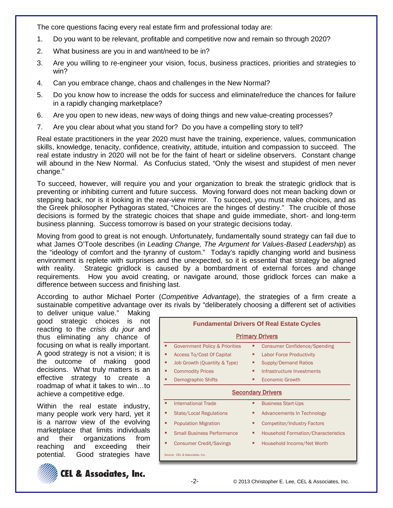The core questions facing every real estate firm and professional today are:

- 1. Do you want to be relevant, profitable and competitive now and remain so through 2020?
- 2. What business are you in and want/need to be in?
- 3. Are you willing to re-engineer your vision, focus, business practices, priorities and strategies to win?
- 4. Can you embrace change, chaos and challenges in the New Normal?
- 5. Do you know how to increase the odds for success and eliminate/reduce the chances for failure in a rapidly changing marketplace?
- 6. Are you open to new ideas, new ways of doing things and new value-creating processes?
- 7. Are you clear about what you stand for? Do you have a compelling story to tell?

Real estate practitioners in the year 2020 must have the training, experience, values, communication skills, knowledge, tenacity, confidence, creativity, attitude, intuition and compassion to succeed. The real estate industry in 2020 will not be for the faint of heart or sideline observers. Constant change will abound in the New Normal. As Confucius stated, "Only the wisest and stupidest of men never change."

To succeed, however, will require you and your organization to break the strategic gridlock that is preventing or inhibiting current and future success. Moving forward does not mean backing down or stepping back, nor is it looking in the rear-view mirror. To succeed, you must make choices, and as the Greek philosopher Pythagoras stated, "Choices are the hinges of destiny." The crucible of those decisions is formed by the strategic choices that shape and guide immediate, short- and long-term business planning. Success tomorrow is based on your strategic decisions today.

Moving from good to great is not enough. Unfortunately, fundamentally sound strategy can fail due to what James O'Toole describes (in *Leading Change, The Argument for Values-Based Leadership*) as the "ideology of comfort and the tyranny of custom." Today's rapidly changing world and business environment is replete with surprises and the unexpected, so it is essential that strategy be aligned with reality. Strategic gridlock is caused by a bombardment of external forces and change requirements. How you avoid creating, or navigate around, those gridlock forces can make a difference between success and finishing last.

According to author Michael Porter (*Competitive Advantage*), the strategies of a firm create a sustainable competitive advantage over its rivals by "deliberately choosing a different set of activities

to deliver unique value." Making good strategic choices is not reacting to the *crisis du jour* and thus eliminating any chance of focusing on what is really important. A good strategy is not a vision; it is the outcome of making good decisions. What truly matters is an effective strategy to create a roadmap of what it takes to win…to achieve a competitive edge.

Within the real estate industry, many people work very hard, yet it is a narrow view of the evolving marketplace that limits individuals and their organizations from reaching and exceeding their potential. Good strategies have



**CEL & Associates, Inc.** 

| <b>Fundamental Drivers Of Real Estate Cycles</b> |   |                                            |  |  |  |  |
|--------------------------------------------------|---|--------------------------------------------|--|--|--|--|
| <b>Primary Drivers</b>                           |   |                                            |  |  |  |  |
| <b>Government Policy &amp; Priorities</b>        | ٠ | <b>Consumer Confidence/Spending</b>        |  |  |  |  |
| <b>Access To/Cost Of Capital</b>                 | п | <b>Labor Force Productivity</b>            |  |  |  |  |
| Job Growth (Quantity & Type)                     | п | <b>Supply/Demand Ratios</b>                |  |  |  |  |
| <b>Commodity Prices</b>                          | п | Infrastructure Investments                 |  |  |  |  |
| <b>Demographic Shifts</b>                        | п | <b>Economic Growth</b>                     |  |  |  |  |
| <b>Secondary Drivers</b>                         |   |                                            |  |  |  |  |
| <b>International Trade</b>                       | ٠ | <b>Business Start-Ups</b>                  |  |  |  |  |
| <b>State/Local Regulations</b>                   | Е | Advancements In Technology                 |  |  |  |  |
| <b>Population Migration</b><br>٠                 | п | <b>Competitor/Industry Factors</b>         |  |  |  |  |
| <b>Small Business Performance</b>                | п | <b>Household Formation/Characteristics</b> |  |  |  |  |
| <b>Consumer Credit/Savings</b>                   | п | Household Income/Net Worth                 |  |  |  |  |
| Source: CEL & Associates, Inc.                   |   |                                            |  |  |  |  |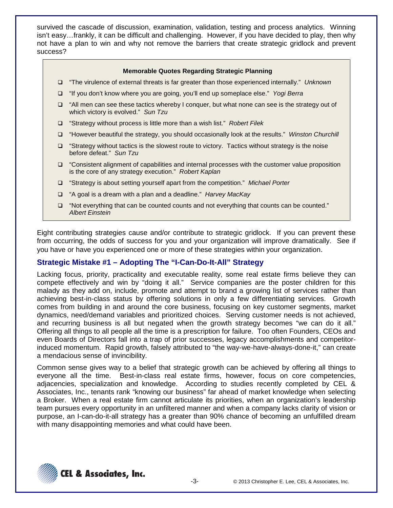survived the cascade of discussion, examination, validation, testing and process analytics. Winning isn't easy…frankly, it can be difficult and challenging. However, if you have decided to play, then why not have a plan to win and why not remove the barriers that create strategic gridlock and prevent success?

### **Memorable Quotes Regarding Strategic Planning**

- "The virulence of external threats is far greater than those experienced internally." *Unknown*
- "If you don't know where you are going, you'll end up someplace else." *Yogi Berra*
- $\Box$  "All men can see these tactics whereby I conquer, but what none can see is the strategy out of which victory is evolved." *Sun Tzu*
- "Strategy without process is little more than a wish list." *Robert Filek*
- "However beautiful the strategy, you should occasionally look at the results." *Winston Churchill*
- $\Box$  "Strategy without tactics is the slowest route to victory. Tactics without strategy is the noise before defeat." *Sun Tzu*
- □ "Consistent alignment of capabilities and internal processes with the customer value proposition is the core of any strategy execution." *Robert Kaplan*
- "Strategy is about setting yourself apart from the competition." *Michael Porter*
- "A goal is a dream with a plan and a deadline." *Harvey MacKay*
- $\Box$  "Not everything that can be counted counts and not everything that counts can be counted." *Albert Einstein*

Eight contributing strategies cause and/or contribute to strategic gridlock. If you can prevent these from occurring, the odds of success for you and your organization will improve dramatically. See if you have or have you experienced one or more of these strategies within your organization.

### **Strategic Mistake #1 – Adopting The "I-Can-Do-It-All" Strategy**

Lacking focus, priority, practicality and executable reality, some real estate firms believe they can compete effectively and win by "doing it all." Service companies are the poster children for this malady as they add on, include, promote and attempt to brand a growing list of services rather than achieving best-in-class status by offering solutions in only a few differentiating services. Growth comes from building in and around the core business, focusing on key customer segments, market dynamics, need/demand variables and prioritized choices. Serving customer needs is not achieved, and recurring business is all but negated when the growth strategy becomes "we can do it all." Offering all things to all people all the time is a prescription for failure. Too often Founders, CEOs and even Boards of Directors fall into a trap of prior successes, legacy accomplishments and competitorinduced momentum. Rapid growth, falsely attributed to "the way-we-have-always-done-it," can create a mendacious sense of invincibility.

Common sense gives way to a belief that strategic growth can be achieved by offering all things to everyone all the time. Best-in-class real estate firms, however, focus on core competencies, adjacencies, specialization and knowledge. According to studies recently completed by CEL & Associates, Inc., tenants rank "knowing our business" far ahead of market knowledge when selecting a Broker. When a real estate firm cannot articulate its priorities, when an organization's leadership team pursues every opportunity in an unfiltered manner and when a company lacks clarity of vision or purpose, an I-can-do-it-all strategy has a greater than 90% chance of becoming an unfulfilled dream with many disappointing memories and what could have been.

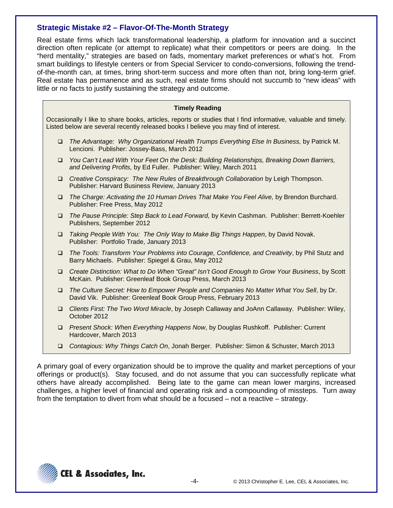# **Strategic Mistake #2 – Flavor-Of-The-Month Strategy**

Real estate firms which lack transformational leadership, a platform for innovation and a succinct direction often replicate (or attempt to replicate) what their competitors or peers are doing. In the "herd mentality," strategies are based on fads, momentary market preferences or what's hot. From smart buildings to lifestyle centers or from Special Servicer to condo-conversions, following the trendof-the-month can, at times, bring short-term success and more often than not, bring long-term grief. Real estate has permanence and as such, real estate firms should not succumb to "new ideas" with little or no facts to justify sustaining the strategy and outcome.

| <b>Timely Reading</b> |
|-----------------------|
|-----------------------|

Occasionally I like to share books, articles, reports or studies that I find informative, valuable and timely. Listed below are several recently released books I believe you may find of interest.

- **The Advantage: Why Organizational Health Trumps Everything Else In Business, by Patrick M.** Lencioni. Publisher: Jossey-Bass, March 2012
- *You Can't Lead With Your Feet On the Desk: Building Relationships, Breaking Down Barriers, and Delivering Profits,* by Ed Fuller. Publisher: Wiley, March 2011
- *Creative Conspiracy: The New Rules of Breakthrough Collaboration* by Leigh Thompson. Publisher: Harvard Business Review, January 2013
- **The Charge: Activating the 10 Human Drives That Make You Feel Alive, by Brendon Burchard.** Publisher: Free Press, May 2012
- *The Pause Principle: Step Back to Lead Forward,* by Kevin Cashman. Publisher: Berrett-Koehler Publishers, September 2012
- *Taking People With You: The Only Way to Make Big Things Happen*, by David Novak. Publisher: Portfolio Trade, January 2013
- *The Tools: Transform Your Problems into Courage, Confidence, and Creativity*, by Phil Stutz and Barry Michaels. Publisher: Spiegel & Grau, May 2012
- *Create Distinction: What to Do When "Great" Isn't Good Enough to Grow Your Business*, by Scott McKain. Publisher: Greenleaf Book Group Press, March 2013
- *The Culture Secret: How to Empower People and Companies No Matter What You Sell*, by Dr. David Vik. Publisher: Greenleaf Book Group Press, February 2013
- *Clients First: The Two Word Miracle*, by Joseph Callaway and JoAnn Callaway. Publisher: Wiley, October 2012
- *Present Shock: When Everything Happens Now*, by Douglas Rushkoff. Publisher: Current Hardcover, March 2013
- *Contagious: Why Things Catch On*, Jonah Berger. Publisher: Simon & Schuster, March 2013

A primary goal of every organization should be to improve the quality and market perceptions of your offerings or product(s). Stay focused, and do not assume that you can successfully replicate what others have already accomplished. Being late to the game can mean lower margins, increased challenges, a higher level of financial and operating risk and a compounding of missteps. Turn away from the temptation to divert from what should be a focused – not a reactive – strategy.

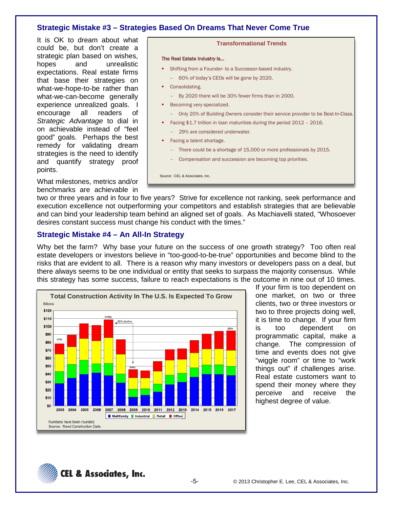# **Strategic Mistake #3 – Strategies Based On Dreams That Never Come True**

It is OK to dream about what could be, but don't create a strategic plan based on wishes, hopes and unrealistic expectations. Real estate firms that base their strategies on what-we-hope-to-be rather than what-we-can-become generally experience unrealized goals. I encourage all readers of *Strategic Advantage* to dial in on achievable instead of "feel good" goals. Perhaps the best remedy for validating dream strategies is the need to identify and quantify strategy proof points.

What milestones, metrics and/or benchmarks are achievable in



two or three years and in four to five years? Strive for excellence not ranking, seek performance and execution excellence not outperforming your competitors and establish strategies that are believable and can bind your leadership team behind an aligned set of goals. As Machiavelli stated, "Whosoever desires constant success must change his conduct with the times."

### **Strategic Mistake #4 – An All-In Strategy**

Why bet the farm? Why base your future on the success of one growth strategy? Too often real estate developers or investors believe in "too-good-to-be-true" opportunities and become blind to the risks that are evident to all. There is a reason why many investors or developers pass on a deal, but there always seems to be one individual or entity that seeks to surpass the majority consensus. While this strategy has some success, failure to reach expectations is the outcome in nine out of 10 times.



If your firm is too dependent on one market, on two or three clients, two or three investors or two to three projects doing well, it is time to change. If your firm is too dependent on programmatic capital, make a change. The compression of time and events does not give "wiggle room" or time to "work things out" if challenges arise. Real estate customers want to spend their money where they perceive and receive the highest degree of value.

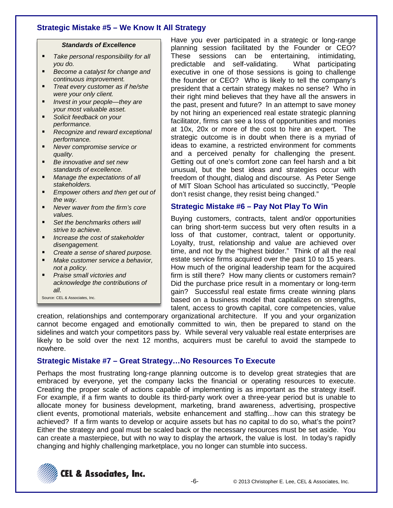# **Strategic Mistake #5 – We Know It All Strategy**

#### *Standards of Excellence*

- *Take personal responsibility for all you do.*
- *Become a catalyst for change and continuous improvement.*
- *Treat every customer as if he/she were your only client.*
- *Invest in your people—they are*
- *your most valuable asset. Solicit feedback on your performance.*
- *Recognize and reward exceptional performance.*
- *Never compromise service or quality.*
- *Be innovative and set new standards of excellence.*
- *Manage the expectations of all stakeholders.*
- *Empower others and then get out of the way.*
- *Never waver from the firm's core values.*
- *Set the benchmarks others will strive to achieve.*
- *Increase the cost of stakeholder disengagement.*
- *Create a sense of shared purpose.*
- *Make customer service a behavior, not a policy.*
- *Praise small victories and acknowledge the contributions of all.*
- Source: CEL & Associates, Inc.

Have you ever participated in a strategic or long-range planning session facilitated by the Founder or CEO? These sessions can be entertaining, intimidating, predictable and self-validating. What participating executive in one of those sessions is going to challenge the founder or CEO? Who is likely to tell the company's president that a certain strategy makes no sense? Who in their right mind believes that they have all the answers in the past, present and future? In an attempt to save money by not hiring an experienced real estate strategic planning facilitator, firms can see a loss of opportunities and monies at 10x, 20x or more of the cost to hire an expert. The strategic outcome is in doubt when there is a myriad of ideas to examine, a restricted environment for comments and a perceived penalty for challenging the present. Getting out of one's comfort zone can feel harsh and a bit unusual, but the best ideas and strategies occur with freedom of thought, dialog and discourse. As Peter Senge of MIT Sloan School has articulated so succinctly, "People don't resist change, they resist being changed."

# **Strategic Mistake #6 – Pay Not Play To Win**

Buying customers, contracts, talent and/or opportunities can bring short-term success but very often results in a loss of that customer, contract, talent or opportunity. Loyalty, trust, relationship and value are achieved over time, and not by the "highest bidder." Think of all the real estate service firms acquired over the past 10 to 15 years. How much of the original leadership team for the acquired firm is still there? How many clients or customers remain? Did the purchase price result in a momentary or long-term gain? Successful real estate firms create winning plans based on a business model that capitalizes on strengths, talent, access to growth capital, core competencies, value

creation, relationships and contemporary organizational architecture. If you and your organization cannot become engaged and emotionally committed to win, then be prepared to stand on the sidelines and watch your competitors pass by. While several very valuable real estate enterprises are likely to be sold over the next 12 months, acquirers must be careful to avoid the stampede to nowhere.

# **Strategic Mistake #7 – Great Strategy…No Resources To Execute**

Perhaps the most frustrating long-range planning outcome is to develop great strategies that are embraced by everyone, yet the company lacks the financial or operating resources to execute. Creating the proper scale of actions capable of implementing is as important as the strategy itself. For example, if a firm wants to double its third-party work over a three-year period but is unable to allocate money for business development, marketing, brand awareness, advertising, prospective client events, promotional materials, website enhancement and staffing…how can this strategy be achieved? If a firm wants to develop or acquire assets but has no capital to do so, what's the point? Either the strategy and goal must be scaled back or the necessary resources must be set aside. You can create a masterpiece, but with no way to display the artwork, the value is lost. In today's rapidly changing and highly challenging marketplace, you no longer can stumble into success.

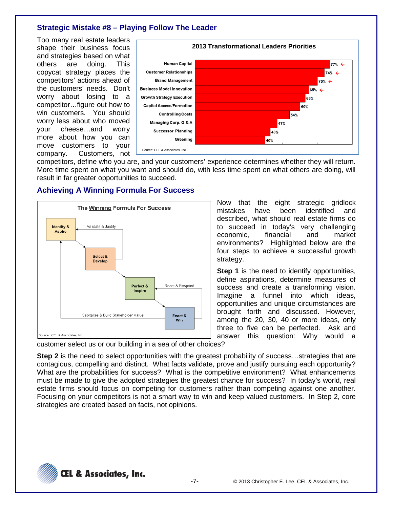# **Strategic Mistake #8 – Playing Follow The Leader**

Too many real estate leaders shape their business focus and strategies based on what others are doing. This copycat strategy places the competitors' actions ahead of the customers' needs. Don't worry about losing to a competitor…figure out how to win customers. You should worry less about who moved your cheese…and worry more about how you can move customers to your company. Customers, not



strategy.

competitors, define who you are, and your customers' experience determines whether they will return. More time spent on what you want and should do, with less time spent on what others are doing, will result in far greater opportunities to succeed.

### **Achieving A Winning Formula For Success**



answer this question: Why would a customer select us or our building in a sea of other choices?

**Step 2** is the need to select opportunities with the greatest probability of success...strategies that are contagious, compelling and distinct. What facts validate, prove and justify pursuing each opportunity? What are the probabilities for success? What is the competitive environment? What enhancements must be made to give the adopted strategies the greatest chance for success? In today's world, real estate firms should focus on competing for customers rather than competing against one another. Focusing on your competitors is not a smart way to win and keep valued customers. In Step 2, core strategies are created based on facts, not opinions.



Now that the eight strategic gridlock mistakes have been identified and described, what should real estate firms do to succeed in today's very challenging economic, financial and market environments? Highlighted below are the four steps to achieve a successful growth

**Step 1** is the need to identify opportunities, define aspirations, determine measures of success and create a transforming vision. Imagine a funnel into which ideas, opportunities and unique circumstances are brought forth and discussed. However, among the 20, 30, 40 or more ideas, only three to five can be perfected. Ask and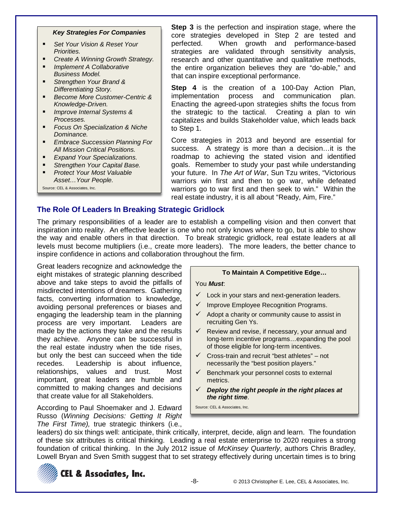#### *Key Strategies For Companies*

- *Set Your Vision & Reset Your Priorities.*
- *Create A Winning Growth Strategy.*
- *Implement A Collaborative Business Model.*
- *Strengthen Your Brand & Differentiating Story.*
- *Become More Customer-Centric & Knowledge-Driven.*
- *Improve Internal Systems & Processes.*
- *Focus On Specialization & Niche Dominance.*
- *Embrace Succession Planning For All Mission Critical Positions.*
- *Expand Your Specializations.*
- *Strengthen Your Capital Base.*
- *Protect Your Most Valuable Asset…Your People.*

Source: CEL & Associates, Inc.

**Step 3** is the perfection and inspiration stage, where the core strategies developed in Step 2 are tested and perfected. When growth and performance-based strategies are validated through sensitivity analysis, research and other quantitative and qualitative methods, the entire organization believes they are "do-able," and that can inspire exceptional performance.

**Step 4** is the creation of a 100-Day Action Plan, implementation process and communication plan. Enacting the agreed-upon strategies shifts the focus from the strategic to the tactical. Creating a plan to win capitalizes and builds Stakeholder value, which leads back to Step 1.

Core strategies in 2013 and beyond are essential for success. A strategy is more than a decision…it is the roadmap to achieving the stated vision and identified goals. Remember to study your past while understanding your future. In *The Art of War*, Sun Tzu writes, "Victorious warriors win first and then to go war, while defeated warriors go to war first and then seek to win." Within the real estate industry, it is all about "Ready, Aim, Fire."

### **The Role Of Leaders In Breaking Strategic Gridlock**

The primary responsibilities of a leader are to establish a compelling vision and then convert that inspiration into reality. An effective leader is one who not only knows where to go, but is able to show the way and enable others in that direction. To break strategic gridlock, real estate leaders at all levels must become multipliers (i.e., create more leaders). The more leaders, the better chance to inspire confidence in actions and collaboration throughout the firm.

Great leaders recognize and acknowledge the eight mistakes of strategic planning described above and take steps to avoid the pitfalls of misdirected intentions of dreamers. Gathering facts, converting information to knowledge, avoiding personal preferences or biases and engaging the leadership team in the planning process are very important. Leaders are made by the actions they take and the results they achieve. Anyone can be successful in the real estate industry when the tide rises, but only the best can succeed when the tide recedes. Leadership is about influence, relationships, values and trust. Most important, great leaders are humble and committed to making changes and decisions that create value for all Stakeholders.

According to Paul Shoemaker and J. Edward Russo (*Winning Decisions: Getting It Right The First Time),* true strategic thinkers (i.e.,

#### **To Maintain A Competitive Edge…**

#### You *Must*:

- $\checkmark$  Lock in your stars and next-generation leaders.
- $\checkmark$  Improve Employee Recognition Programs.
- $\checkmark$  Adopt a charity or community cause to assist in recruiting Gen Ys.
- $\checkmark$  Review and revise, if necessary, your annual and long-term incentive programs…expanding the pool of those eligible for long-term incentives.
- $\checkmark$  Cross-train and recruit "best athletes" not necessarily the "best position players."
- $\checkmark$  Benchmark your personnel costs to external metrics.
- *Deploy the right people in the right places at the right time*.

Source: CEL & Associates, Inc.

leaders) do six things well: anticipate, think critically, interpret, decide, align and learn. The foundation of these six attributes is critical thinking. Leading a real estate enterprise to 2020 requires a strong foundation of critical thinking. In the July 2012 issue of *McKinsey Quarterly*, authors Chris Bradley, Lowell Bryan and Sven Smith suggest that to set strategy effectively during uncertain times is to bring



**CEL & Associates, Inc.**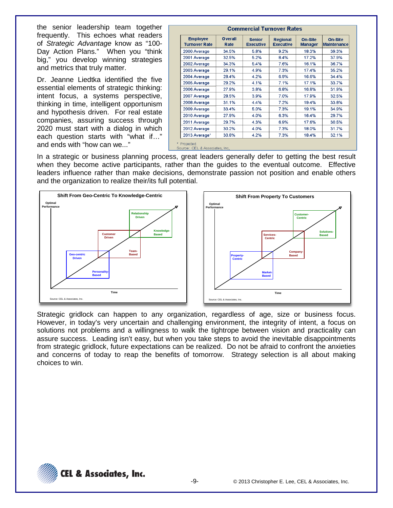the senior leadership team together frequently. This echoes what readers of *Strategic Advantage* know as "100- Day Action Plans." When you "think big," you develop winning strategies and metrics that truly matter.

Dr. Jeanne Liedtka identified the five essential elements of strategic thinking: intent focus, a systems perspective, thinking in time, intelligent opportunism and hypothesis driven. For real estate companies, assuring success through 2020 must start with a dialog in which each question starts with "what if…" and ends with "how can we..."

| <b>Employee</b><br><b>Turnover Rate</b> | <b>Overall</b><br>Rate | <b>Senior</b><br><b>Executive</b> | <b>Regional</b><br><b>Executive</b> | <b>On-Site</b><br><b>Manager</b> | <b>On-Site</b><br><b>Maintenance</b> |
|-----------------------------------------|------------------------|-----------------------------------|-------------------------------------|----------------------------------|--------------------------------------|
| 2000 Average                            | 34.5%                  | 5.8%                              | 9.2%                                | 18.3%                            | 39.3%                                |
| 2001 Average                            | 32.5%                  | 5.2%                              | 8.4%                                | 17.2%                            | 37.9%                                |
| 2002 Average                            | 34.3%                  | 5.4%                              | 7.6%                                | 16.1%                            | 36.7%                                |
| 2003 Average                            | 29.1%                  | 4.9%                              | 7.3%                                | 17.4%                            | 35.2%                                |
| 2004 Average                            | 28.4%                  | 4.2%                              | 6.9%                                | 16.6%                            | 34.4%                                |
| 2005 Average                            | 29.2%                  | 4.1%                              | 7.1%                                | 17.1%                            | 33.7%                                |
| 2006 Average                            | 27.9%                  | 3.8%                              | 6.8%                                | 16.8%                            | 31.9%                                |
| 2007 Average                            | 28.5%                  | 3.9%                              | 7.0%                                | 17.9%                            | 32.5%                                |
| 2008 Average                            | 31.1%                  | 4.4%                              | 7.2%                                | 19.4%                            | 33.8%                                |
| 2009 Average                            | 33.4%                  | 5.0%                              | 7.3%                                | 19.1%                            | 34.9%                                |
| 2010 Average                            | 27.9%                  | 4.0%                              | 6.3%                                | 16.4%                            | 29.7%                                |
| 2011 Average                            | 29.7%                  | 4.3%                              | 6.9%                                | 17.6%                            | 30.5%                                |
| 2012 Average                            | 30.2%                  | 4.0%                              | 7.3%                                | 18.0%                            | 31.7%                                |
| 2013 Average*                           | 30.8%                  | 4.2%                              | 7.3%                                | 18.4%                            | 32.1%                                |

In a strategic or business planning process, great leaders generally defer to getting the best result when they become active participants, rather than the guides to the eventual outcome. Effective leaders influence rather than make decisions, demonstrate passion not position and enable others and the organization to realize their/its full potential.



Strategic gridlock can happen to any organization, regardless of age, size or business focus. However, in today's very uncertain and challenging environment, the integrity of intent, a focus on solutions not problems and a willingness to walk the tightrope between vision and practicality can assure success. Leading isn't easy, but when you take steps to avoid the inevitable disappointments from strategic gridlock, future expectations can be realized. Do not be afraid to confront the anxieties and concerns of today to reap the benefits of tomorrow. Strategy selection is all about making choices to win.

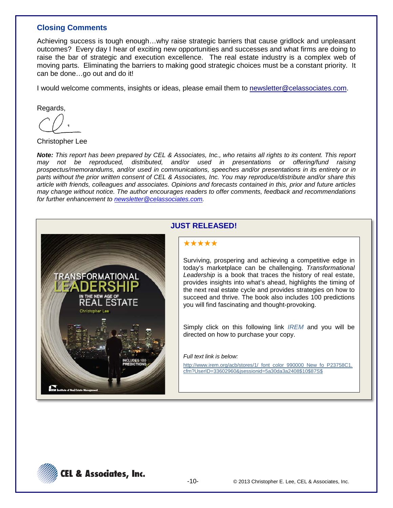# **Closing Comments**

Achieving success is tough enough…why raise strategic barriers that cause gridlock and unpleasant outcomes? Every day I hear of exciting new opportunities and successes and what firms are doing to raise the bar of strategic and execution excellence. The real estate industry is a complex web of moving parts. Eliminating the barriers to making good strategic choices must be a constant priority. It can be done…go out and do it!

I would welcome comments, insights or ideas, please email them to newsletter@celassociates.com.

Regards,

Christopher Lee

*Note: This report has been prepared by CEL & Associates, Inc., who retains all rights to its content. This report may not be reproduced, distributed, and/or used in presentations or offering/fund raising prospectus/memorandums, and/or used in communications, speeches and/or presentations in its entirety or in parts without the prior written consent of CEL & Associates, Inc. You may reproduce/distribute and/or share this article with friends, colleagues and associates. Opinions and forecasts contained in this, prior and future articles may change without notice. The author encourages readers to offer comments, feedback and recommendations for further enhancement to [newsletter@celassociates.com.](mailto:newsletter@celassociates.com)*



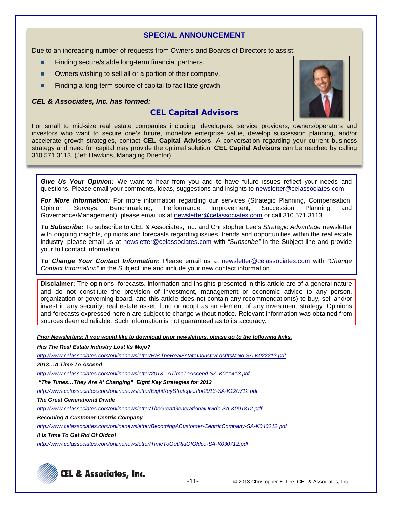## **SPECIAL ANNOUNCEMENT**

Due to an increasing number of requests from Owners and Boards of Directors to assist:

- Finding secure/stable long-term financial partners.
- Owners wishing to sell all or a portion of their company.
- Finding a long-term source of capital to facilitate growth.

### *CEL & Associates, Inc. has formed:*

# **CEL Capital Advisors**



For small to mid-size real estate companies including: developers, service providers, owners/operators and investors who want to secure one's future, monetize enterprise value, develop succession planning, and/or accelerate growth strategies, contact **CEL Capital Advisors**. A conversation regarding your current business strategy and need for capital may provide the optimal solution. **CEL Capital Advisors** can be reached by calling 310.571.3113. (Jeff Hawkins, Managing Director)

*Give Us Your Opinion:* We want to hear from you and to have future issues reflect your needs and questions. Please email your comments, ideas, suggestions and insights to newsletter@celassociates.com.

**For More Information:** For more information regarding our services (Strategic Planning, Compensation, Opinion Surveys, Benchmarking, Performance Improvement, Succession Planning and Benchmarking, Performance Improvement, Succession Planning and Governance/Management), please email us at newsletter@celassociates.com or call 310.571.3113.

*To Subscribe:* To subscribe to CEL & Associates, Inc. and Christopher Lee's *Strategic Advantage* newsletter with ongoing insights, opinions and forecasts regarding issues, trends and opportunities within the real estate industry, please email us at newsletter@celassociates.com with *"Subscribe"* in the Subject line and provide your full contact information.

*To Change Your Contact Information***:** Please email us at newsletter@celassociates.com with *"Change Contact Information"* in the Subject line and include your new contact information.

**Disclaimer:** The opinions, forecasts, information and insights presented in this article are of a general nature and do not constitute the provision of investment, management or economic advice to any person, organization or governing board, and this article does not contain any recommendation(s) to buy, sell and/or invest in any security, real estate asset, fund or adopt as an element of any investment strategy. Opinions and forecasts expressed herein are subject to change without notice. Relevant information was obtained from sources deemed reliable. Such information is not guaranteed as to its accuracy.

*Prior Newsletters: If you would like to download prior newsletters, please go to the following links.*

*Has The Real Estate Industry Lost Its Mojo?*

*http://www.celassociates.com/onlinenewsletter/HasTheRealEstateIndustryLostItsMojo-SA-K022213.pdf*

*2013…A Time To Ascend*

*[http://www.celassociates.com/onlinenewsletter/2013...ATimeToAscend-SA-K011413.pdf](http://www.celassociates.com/onlinenewsletter/EightKeyStrategiesfor2013-SA-K120712.pdf)*

*"The Times…They Are A' Changing" Eight Key Strategies for 2013*

*<http://www.celassociates.com/onlinenewsletter/EightKeyStrategiesfor2013-SA-K120712.pdf>*

*The Great Generational Divide*

*http://www.celassociates.com/onlinenewsletter/TheGreatGenerationalDivide-SA-K091812.pdf*

*Becoming A Customer-Centric Company*

*http://www.celassociates.com/onlinenewsletter/BecomingACustomer-CentricCompany-SA-K040212.pdf*

*It Is Time To Get Rid Of Oldco!*

*http://www.celassociates.com/onlinenewsletter/TimeToGetRidOfOldco-SA-K030712.pdf*